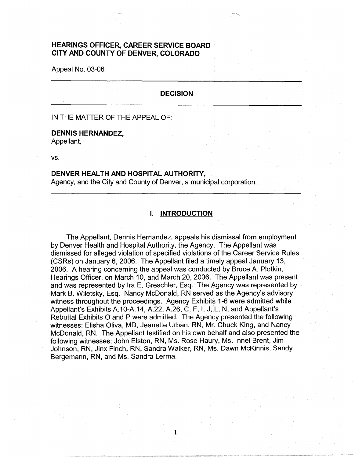# **HEARINGS OFFICER, CAREER SERVICE BOARD CITY AND COUNTY OF DENVER, COLORADO**

Appeal No. 03-06

#### **DECISION**

#### IN THE MATTER OF THE APPEAL OF:

#### **DENNIS HERNANDEZ,**  Appellant,

vs.

#### **DENVER HEALTH AND HOSPITAL AUTHORITY,**

Agency, and the City and County of Denver, a municipal corporation.

### **I. INTRODUCTION**

The Appellant, Dennis Hernandez, appeals his dismissal from employment by Denver Health and Hospital Authority, the Agency. The Appellant was dismissed for alleged violation of specified violations of the Career Service Rules (CSRs) on January 6, 2006. The Appellant filed a timely appeal January 13, 2006. A hearing concerning the appeal was conducted by Bruce A. Plotkin, Hearings Officer, on March 10, and March 20, 2006. The Appellant was present and was represented by Ira E. Greschler, Esq. The Agency was represented by Mark B. Wiletsky, Esq. Nancy McDonald, RN served as the Agency's advisory witness throughout the proceedings. Agency Exhibits 1-6 were admitted while Appellant's Exhibits A.10-A.14, A.22, A.26, C, F, I, J, L, N, and Appellant's Rebuttal Exhibits O and P were admitted. The Agency presented the following witnesses: Elisha Oliva, MD, Jeanette Urban, RN, Mr. Chuck King, and Nancy McDonald, RN. The Appellant testified on his own behalf and also presented the following witnesses: John Elston, RN, Ms. Rose Haury, Ms. lnnel Brent, Jim Johnson, RN, Jinx Finch, RN, Sandra Walker, RN, Ms. Dawn McKinnis, Sandy Bergemann, RN, and Ms. Sandra Lerma.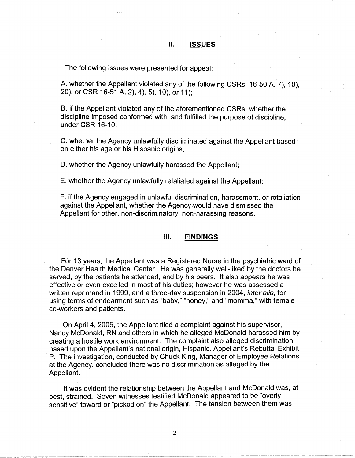## II. **ISSUES**

The following issues were presented for appeal:

A. whether the Appellant violated any of the following CSRs: 16-50 A, 7), 10). 20), or CSR 16-51 A. 2), 4 ), 5), 10), or 11 );

B. if the Appellant violated any of the aforementioned CSRs, whether the discipline imposed conformed with, and fulfilled the purpose of discipline, under CSR 16-10;

C. whether the Agency unlawfully discriminated against the Appellant based on either his age or his Hispanic origins;

D. whether the Agency unlawfully harassed the Appellant;

E. whether the Agency unlawfully retaliated against the Appellant;

F. if the Agency engaged in unlawful discrimination, harassment, or retaliation against the Appellant, whether the Agency would have dismissed the Appellant for other, non-discriminatory, non-harassing reasons.

### Ill. **FINDINGS**

For 13 years, the Appellant was a Registered Nurse in the psychiatric ward of the Denver Health Medical Center. He was generally well-liked by the doctors he served, by the patients he attended, and by his peers. It also appears he was effective or even excelled in most of his duties; however he was assessed a written reprimand in 1999, and a three-day suspension in 2004, inter alia, for using terms of endearment such as "baby," "honey," and "momma," with female co-workers and patients.

On April 4, 2005, the Appellant filed a complaint against his supervisor, Nancy McDonald, RN and others in which he alleged McDonald harassed him by creating a hostile work environment. The complaint also alleged discrimination based upon the Appellant's national origin, Hispanic. Appellant's Rebuttal Exhibit P. The investigation, conducted by Chuck King, Manager of Employee Relations at the Agency, concluded there was no discrimination as alleged by the Appellant.

It was evident the relationship between the Appellant and McDonald was, at best, strained. Seven witnesses testified McDonald appeared to be "overly sensitive" toward or "picked on" the Appellant. The tension between them was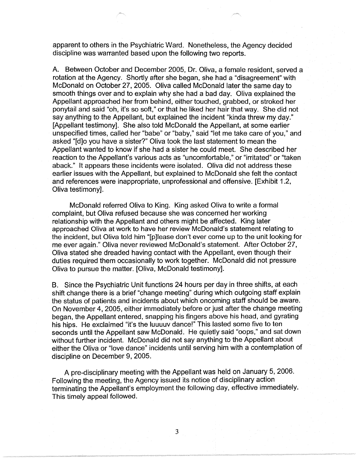apparent to others in the Psychiatric Ward. Nonetheless, the Agency decided discipline was warranted based upon the following two reports.

A. Between October and December 2005, Dr. Oliva, a female resident, served a rotation at the Agency. Shortly after she began, she had a "disagreement" with McDonald on October 27, 2005. Oliva called McDonald later the same day to smooth things over and to explain why she had a bad day. Oliva explained the Appellant approached her from behind, either touched, grabbed, or stroked her ponytail and said "oh, it's so soft," or that he liked her hair that way. She did not say anything to the Appellant, but explained the incident "kinda threw my day." [Appellant testimony]. She also told McDonald the Appellant, at some earlier unspecified times, called her "babe" or "baby," said "let me take care of you," and asked "[d]o you have a sister?" Oliva took the last statement to mean the Appellant wanted to know if she had a sister he could meet. She described her reaction to the Appellant's various acts as "uncomfortable," or "irritated" or "taken aback." It appears these incidents were isolated. Oliva did not address these earlier issues with the Appellant, but explained to McDonald she felt the contact and references were inappropriate, unprofessional and offensive. [Exhibit 1.2, Oliva testimony].

McDonald referred Oliva to King. King asked Oliva to write a formal complaint, but Oliva refused because she was concerned her working relationship with the Appellant and others might be affected. King later approached Oliva at work to have her review McDonald's statement relating to the incident, but Oliva told him "[p]lease don't ever come up to the unit looking for me ever again." Oliva never reviewed McDonald's statement. After October 27, Oliva stated she dreaded having contact with the Appellant, even though their duties required them occasionally to work together. McDonald did not pressure Oliva to pursue the matter. [Oliva, McDonald testimony].

B. Since the Psychiatric Unit functions 24 hours per day in three shifts, at each shift change there is a brief "change meeting" during which outgoing staff explain the status of patients and incidents about which oncoming staff should be aware. On November 4, 2005, either immediately before or just after the change meeting began, the Appellant entered, snapping his fingers above his head, and gyrating his hips. He exclaimed "it's the luuuuv dance!" This lasted some five to ten seconds until the Appellant saw McDonald. He quietly said "oops," and sat down without further incident. McDonald did not say anything to the Appellant about either the Oliva or "love dance" incidents until serving him with a contemplation of discipline on December 9, 2005.

A pre-disciplinary meeting with the Appellant was held on January 5, 2006. Following the meeting, the Agency issued its notice of disciplinary action terminating the Appellant's employment the following day, effective immediately. This timely appeal followed.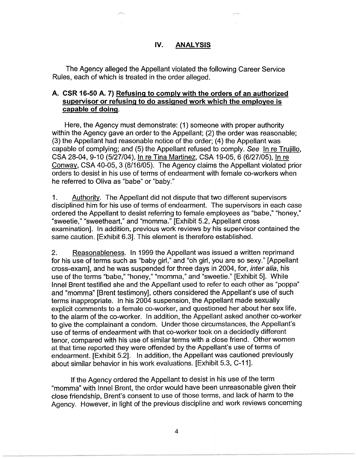## **IV. ANALYSIS**

The Agency alleged the Appellant violated the following Career Service Rules, each of which is treated in the order alleged.

# **A. CSR 16-50 A. 7) Refusing to comply with the orders of an authorized supervisor or refusing to do assigned work which the employee is capable of doing.**

Here, the Agency must demonstrate: (1) someone with proper authority within the Agency gave an order to the Appellant; (2) the order was reasonable; (3) the Appellant had reasonable notice of the order; (4) the Appellant was capable of complying; and (5) the Appellant refused to comply. See In re Trujillo, CSA 28-04, 9-10 (5/27/04), In re Tina Martinez, CSA 19-05, 6 (6/27/05), In re Conway, CSA 40-05, 3 (8/16/05). The Agency claims the Appellant violated prior orders to desist in his use of terms of endearment with female co-workers when he referred to Oliva as "babe" or "baby."

1. Authority. The Appellant did not dispute that two different supervisors disciplined him for his use of terms of endearment. The supervisors in each case ordered the Appellant to desist referring to female employees as "babe," "honey," "sweetie," "sweetheart," and "momma." [Exhibit 5.2, Appellant cross examination]. In addition, previous work reviews by his supervisor contained the same caution. [Exhibit 6.3]. This element is therefore established.

2. Reasonableness. In 1999 the Appellant was issued a written reprimand for his use of terms such as "baby girl," and "oh girl, you are so sexy." [Appellant cross-exam], and he was suspended for three days in 2004, for, *inter alia*, his use of the terms "babe," "honey," "momma," and "sweetie." [Exhibit 5]. While lnnel Brent testified she and the Appellant used to refer to each other as "poppa" and "momma" [Brent testimony], others considered the Appellant's use of such terms inappropriate. In his 2004 suspension, the Appellant made sexually explicit comments to a female co-worker, and questioned her about her sex life, to the alarm of the co-worker. In addition, the Appellant asked another co-worker to give the complainant a condom. Under those circumstances, the Appellant's use of terms of endearment with that co-worker took on a decidedly different tenor, compared with his use of similar terms with a close friend. Other women at that time reported they were offended by the Appellant's use of terms of endearment. [Exhibit 5.2]. In addition, the Appellant was cautioned previously about similar behavior in his work evaluations. [Exhibit 5.3, C-11].

If the Agency ordered the Appellant to desist in his use of the term "momma" with lnnel Brent, the order would have been unreasonable given their close friendship, Brent's consent to use of those terms, and lack of harm to the Agency. However, in light of the previous discipline and work reviews concerning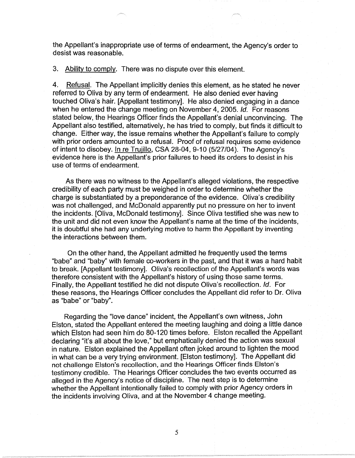the Appellant's inappropriate use of terms of endearment, the Agency's order to desist was reasonable.

3. Ability to comply. There was no dispute over this element.

4. Refusal. The Appellant implicitly denies this element, as he stated he never referred to Oliva by any term of endearment. He also denied ever having touched Oliva's hair. [Appellant testimony]. He also denied engaging in a dance when he entered the change meeting on November 4, 2005. Id. For reasons stated below, the Hearings Officer finds the Appellant's denial unconvincing. The Appellant also testified, alternatively, he has tried to comply, but finds it difficult to change. Either way, the issue remains whether the Appellant's failure to comply with prior orders amounted to a refusal. Proof of refusal requires some evidence of intent to disobey. In re Trujillo, CSA 28-04, 9-10 (5/27/04). The Agency's evidence here is the Appellant's prior failures to heed its orders to desist in his use of terms of endearment.

As there was no witness to the Appellant's alleged violations, the respective credibility of each party must be weighed in order to determine whether the charge is substantiated by a preponderance of the evidence. Oliva's credibility was not challenged, and McDonald apparently put no pressure on her to invent the incidents. [Oliva, McDonald testimony]. Since Oliva testified she was new to the unit and did not even know the Appellant's name at the time of the incidents, it is doubtful she had any underlying motive to harm the Appellant by inventing the interactions between them.

On the other hand, the Appellant admitted he frequently used the terms "babe" and "baby" with female co-workers in the past, and that it was a hard habit to break. [Appellant testimony]. Oliva's recollection of the Appellant's words was therefore consistent with the Appellant's history of using those same terms. Finally, the Appellant testified he did not dispute Oliva's recollection. Id. For these reasons, the Hearings Officer concludes the Appellant did refer to Dr. Oliva as "babe" or "baby".

Regarding the "love dance" incident, the Appellant's own witness, John Elston, stated the Appellant entered the meeting laughing and doing a little dance which Elston had seen him do 80-120 times before. Elston recalled the Appellant declaring "it's all about the love," but emphatically denied the action was sexual in nature. Elston explained the Appellant often joked around to lighten the mood in what can be a very trying environment. [Elston testimony]. The Appellant did not challenge Elston's recollection, and the Hearings Officer finds Elston's testimony credible. The Hearings Officer concludes the two events occurred as alleged in the Agency's notice of discipline. The next step is to determine whether the Appellant intentionally failed to comply with prior Agency orders in the incidents involving Oliva, and at the November 4 change meeting.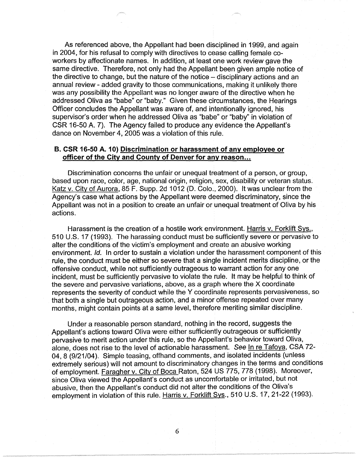As referenced above, the Appellant had been disciplined in 1999, and again in 2004, for his refusal to comply with directives to cease calling female coworkers by affectionate names. In addition, at least one work review gave the same directive. Therefore, not only had the Appellant been given ample notice of the directive to change, but the nature of the notice  $-\frac{1}{2}$  disciplinary actions and an annual review - added gravity to those communications, making it unlikely there was any possibility the Appellant was no longer aware of the directive when he addressed Oliva as "babe" or "baby." Given these circumstances, the Hearings Officer concludes the Appellant was aware of, and intentionally ignored, his supervisor's order when he addressed Oliva as "babe" or "baby" in violation of CSR 16-50 A. 7). The Agency failed to produce any evidence the Appellant's dance on November 4, 2005 was a violation of this rule.

### **B. CSR 16-50 A. 10) Discrimination or harassment of any employee or officer of the City and County of Denver for any reason ...**

Discrimination concerns the unfair or unequal treatment of a person, or group, based upon race, color, age, national origin, religion, sex, disability or veteran status. Katz v. City of Aurora, 85 F. Supp. 2d 1012 (D. Colo., 2000). It was unclear from the Agency's case what actions by the Appellant were deemed discriminatory, since the Appellant was not in a position to create an unfair or unequal treatment of Oliva by his actions.

Harassment is the creation of a hostile work environment. Harris v. Forklift Sys., 510 U.S. 17 (1993). The harassing conduct must be sufficiently severe or pervasive to alter the conditions of the victim's employment and create an abusive working environment. Id. In order to sustain a violation under the harassment component of this rule, the conduct must be either so severe that a single incident merits discipline, or the offensive conduct, while not sufficiently outrageous to warrant action for any one incident, must be sufficiently pervasive to violate the rule. It may be helpful to think of the severe and pervasive variations, above, as a graph where the X coordinate represents the severity of conduct while the Y coordinate represents pervasiveness, so that both a single but outrageous action, and a minor offense repeated over many months, might contain points at a same level, therefore meriting similar discipline.

Under a reasonable person standard, nothing in the record, suggests the Appellant's actions toward Oliva were either sufficiently outrageous or sufficiently pervasive to merit action under this rule, so the Appellant's behavior toward Oliva, alone, does not rise to the level of actionable harassment. See In re Tafoya, CSA 72-04, 8 (9/21/04). Simple teasing, offhand comments, and isolated incidents (unless extremely serious) will not amount to discriminatory changes in the terms and conditions of employment. Faragher v. City of Boca Raton, 524 US 775, 778 (1998). Moreover, since Oliva viewed the Appellant's conduct as uncomfortable or irritated, but not abusive, then the Appellant's conduct did not alter the conditions of the Oliva's employment in violation of this rule. Harris v. Forklift Sys., 510 U.S. 17, 21-22 (1993).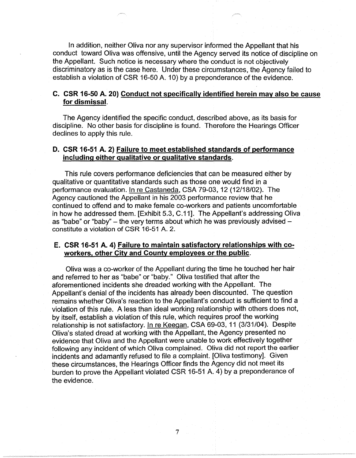In addition, neither Oliva nor any supervisor informed the Appellant that his conduct toward Oliva was offensive, until the Agency served its notice of discipline on the Appellant. Such notice is necessary where the conduct is not objectively discriminatory as is the case here. Under these circumstances, the Agency failed to establish a violation of CSR 16-50 A. 10) by a preponderance of the evidence.

### **C. CSR 16-50 A. 20) Conduct not specifically identified herein may also be cause for dismissal.**

The Agency identified the specific conduct, described above, as its basis for discipline. No other basis for discipline is found. Therefore the Hearings Officer declines to apply this rule.

## **D. CSR 16-51 A. 2) Failure to meet established standards of performance including either qualitative or qualitative standards.**

This rule covers performance deficiencies that can be measured either by qualitative or quantitative standards such as those one would find in a performance evaluation. In re Castaneda, CSA 79-03, 12 (12/18/02). The Agency cautioned the Appellant in his 2003 performance review that he continued to offend and to make female co-workers and patients uncomfortable in how he addressed them. [Exhibit 5.3, C.11]. The Appellant's addressing Oliva as "babe" or "baby" - the very terms about which he was previously advised constitute a violation of CSR 16-51 A. 2.

### **E. CSR 16-51 A. 4) Failure to maintain satisfactory relationships with coworkers, other City and County employees or the public.**

Oliva was a co-worker of the Appellant during the time he touched her hair and referred to her as "babe" or "baby." Oliva testified that after the aforementioned incidents she dreaded working with the Appellant. The Appellant's denial of the incidents has already been discounted. The question remains whether Oliva's reaction to the Appellant's conduct is sufficient to find a violation of this rule. A less than ideal working relationship with others does not, by itself, establish a violation of this rule, which requires proof the working relationship is not satisfactory. In re Keegan, CSA 69-03, 11 (3/31/04). Despite Oliva's stated dread at working with the Appellant, the Agency presented no evidence that Oliva and the Appellant were unable to work effectively together following any incident of which Oliva complained. Oliva did not report the earlier incidents and adamantly refused to file a complaint. [Oliva testimony]. Given these circumstances, the Hearings Officer finds the Agency did not meet its burden to prove the Appellant violated CSR 16-51 A. 4) by a preponderance of the evidence.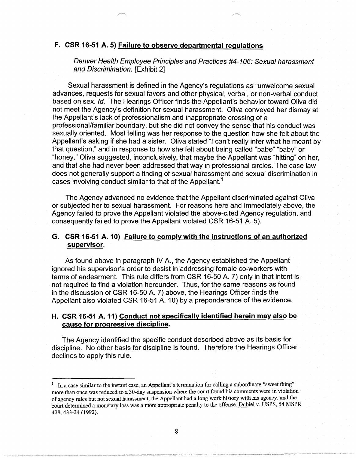### **F. CSR 16-51 A. 5) Failure to observe departmental regulations**

Denver Health Employee Principles and Practices #4-106: Sexual harassment and Discrimination. [Exhibit 2]

Sexual harassment is defined in the Agency's regulations as "unwelcome sexual advances, requests for sexual favors and other physical, verbal, or non-verbal conduct based on sex. Id. The Hearings Officer finds the Appellant's behavior toward Oliva did not meet the Agency's definition for sexual harassment. Oliva conveyed her dismay at the Appellant's lack of professionalism and inappropriate crossing of a professional/familiar boundary, but she did not convey the sense that his conduct was sexually oriented. Most telling was her response to the question how she felt about the Appellant's asking if she had a sister. Oliva stated "I can't really infer what he meant by that question," and in response to how she felt about being called "babe" "baby" or "honey," Oliva suggested, inconclusively, that maybe the Appellant was "hitting" on her, and that she had never been addressed that way in professional circles. The case law does not generally support a finding of sexual harassment and sexual discrimination in cases involving conduct similar to that of the Appellant.<sup>1</sup>

The Agency advanced no evidence that the Appellant discriminated against Oliva or subjected her to sexual harassment. For reasons here and immediately above, the Agency failed to prove the Appellant violated the above-cited Agency regulation, and consequently failed to prove the Appellant violated CSR 16-51 A. 5).

### **G. CSR 16-51 A. 10) Failure to comply with the instructions of an authorized supervisor.**

As found above in paragraph IV A., the Agency established the Appellant ignored his supervisor's order to desist in addressing female co-workers with terms of endearment. This rule differs from CSR 16-50 A. 7) only in that intent is not required to find a violation hereunder. Thus, for the same reasons as found in the discussion of CSR 16-50 A. 7) above, the Hearings Officer finds the Appellant also violated CSR 16-51 A. 10) by a preponderance of the evidence.

## **H. CSR 16-51 A. 11) Conduct not specifically identified herein may also be cause for progressive discipline.**

The Agency identified the specific conduct described above as its basis for discipline. No other basis for discipline is found. Therefore the Hearings Officer declines to apply this rule.

In a case similar to the instant case, an Appellant's termination for calling a subordinate "sweet thing" more than once was reduced to a 30-day suspension where the court found his comments were in violation of agency rules but not sexual harassment, the Appellant had a long work history with his agency, and the court determined a monetary loss was a more appropriate penalty to the offense. Dubiel v. USPS, 54 MSPR 428, 433-34 (1992).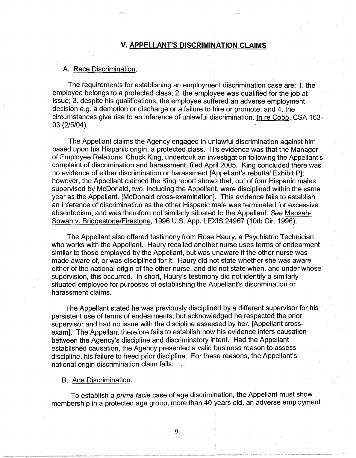### **V. APPELLANT'S DISCRIMINATION CLAIMS**

#### A. Race Discrimination.

The requirements for establishing an employment discrimination case are: 1. the employee belongs to a protected class; 2. the employee was qualified for the job at issue; 3. despite his qualifications, the employee suffered an adverse employment decision e.g. a demotion or discharge or a failure to hire or promote; and 4. the circumstances give rise to an inference of unlawful discrimination. In re Cobb, CSA 163- 03 (2/5/04 ).

The Appellant claims the Agency engaged in unlawful discrimination against him based upon his Hispanic origin, a protected class. His evidence was that the Manager of Employee Relations, Chuck King, undertook an investigation following the Appellant's complaint of discrimination and harassment, filed April 2005. King concluded there was no evidence of either discrimination or harassment [Appellant's rebuttal Exhibit P]; however, the Appellant claimed the King report shows that, out of four Hispanic males supervised by McDonald, two, including the Appellant, were disciplined within the same year as the Appellant. [McDonald cross-examination]. This evidence fails to establish an inference of discrimination as the other Hispanic male was terminated for excessive absenteeism, and was therefore not similarly situated to the Appellant. See Mensah-Sowah v. Bridgestone/Firestone, 1996 U.S. App. LEXIS 24967 (10th Cir. 1996).

The Appellant also offered testimony from Rose Haury, a Psychiatric Technician who works with the Appellant. Haury recalled another nurse uses terms of endearment similar to those employed by the Appellant, but was unaware if the other nurse was made aware of, or was disciplined for it. Haury did not state whether she was aware either of the national origin of the other nurse, and did not state when, and under whose supervision, this occurred. In short, Haury's testimony did not identify a similarly situated employee for purposes of establishing the Appellant's discrimination or harassment claims.

The Appellant stated he was previously disciplined by a different supervisor for his persistent use of terms of endearments, but acknowledged he respected the prior supervisor and had no issue with the discipline assessed by her. [Appellant crossexam]. The Appellant therefore fails to establish how his evidence infers causation between the Agency's discipline and discriminatory intent. Had the Appellant established causation, the Agency presented a valid business reason to assess discipline, his failure to heed prior discipline. For these reasons, the Appellant's national origin discrimination claim fails.

#### 8. Age Discrimination.

To establish a prima facie case of age discrimination, the Appellant must show membership in a protected age group, more than 40 years old, an adverse employment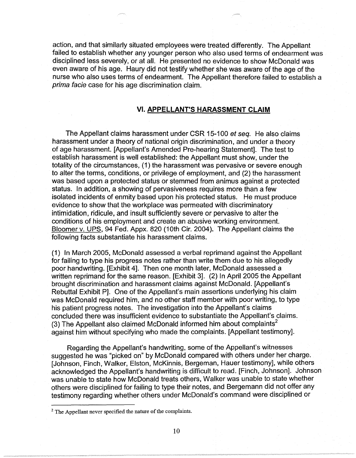action, and that similarly situated employees were treated differently. The Appellant failed to establish whether any younger person who also used terms of endearment was disciplined less severely, or at all. He presented no evidence to show McDonald was even aware of his age. Haury did not testify whether she was aware of the age of the nurse who also uses terms of endearment. The Appellant therefore failed to establish a prima facie case for his age discrimination claim.

### **VI. APPELLANT'S HARASSMENT CLAIM**

The Appellant claims harassment under CSR 15-100 et seq. He also claims harassment under a theory of national origin discrimination, and under a theory of age harassment. [Appellant's Amended Pre-hearing Statement]. The test to establish harassment is well established: the Appellant must show, under the totality of the circumstances, (1) the harassment was pervasive or severe enough to alter the terms, conditions, or privilege of employment, and (2) the harassment was based upon a protected status or stemmed from animus against a protected status. In addition, a showing of pervasiveness requires more than a few isolated incidents of enmity based upon his protected status. He must produce evidence to show that the workplace was permeated with discriminatory intimidation, ridicule, and insult sufficiently severe or pervasive to alter the conditions of his employment and create an abusive working environment. Bloomer v. UPS, 94 Fed. Appx. 820 (10th Cir. 2004). The Appellant claims the following facts substantiate his harassment claims.

(1) In March 2005, McDonald assessed a verbal reprimand against the Appellant for failing to type his progress notes rather than write them due to his allegedly poor handwriting. [Exhibit 4]. Then one month later, McDonald assessed a written reprimand for the same reason. [Exhibit 3]. (2) In April 2005 the Appellant brought discrimination and harassment claims against McDonald. [Appellant's Rebuttal Exhibit P]. One of the Appellant's main assertions underlying his claim was McDonald required him, and no other staff member with poor writing, to type his patient progress notes. The investigation into the Appellant's claims concluded there was insufficient evidence to substantiate the Appellant's claims. (3) The Appellant also claimed McDonald informed him about complaints<sup>2</sup> against him without specifying who made the complaints. [Appellant testimony].

Regarding the Appellant's handwriting, some of the Appellant's witnesses suggested he was "picked on" by McDonald compared with others under her charge. [Johnson, Finch, Walker, Elston, McKinnis, Bergeman, Hauer testimony], while others acknowledged the Appellant's handwriting is difficult to read. [Finch, Johnson]. Johnson was unable to state how McDonald treats others, Walker was unable to state whether others were disciplined for failing to type their notes, and Bergemann did not offer any testimony regarding whether others under McDonald's command were disciplined or

<sup>&</sup>lt;sup>2</sup> The Appellant never specified the nature of the complaints.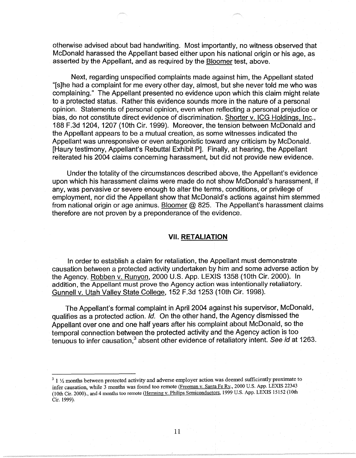otherwise advised about bad handwriting. Most importantly, no witness observed that McDonald harassed the Appellant based either upon his national origin or his age, as asserted by the Appellant, and as required by the Bloomer test, above.

Next, regarding unspecified complaints made against him, the Appellant stated "[s]he had a complaint for me every other day, almost, but she never told me who was complaining." The Appellant presented no evidence upon which this claim might relate to a protected status. Rather this evidence sounds more in the nature of a personal opinion. Statements of personal opinion, even when reflecting a personal prejudice or bias, do not constitute direct evidence of discrimination. Shorter v. ICG Holdings, Inc., 188 F.3d 1204, 1207 (10th Cir. 1999). Moreover, the tension between McDonald and the Appellant appears to be a mutual creation, as some witnesses indicated the Appellant was unresponsive or even antagonistic toward any criticism by McDonald. [Haury testimony, Appellant's Rebuttal Exhibit P]. Finally, at hearing, the Appellant reiterated his 2004 claims concerning harassment, but did not provide new evidence.

Under the totality of the circumstances described above, the Appellant's evidence upon which his harassment claims were made do not show McDonald's harassment, if any, was pervasive or severe enough to alter the terms, conditions, or privilege of employment, nor did the Appellant show that McDonald's actions against him stemmed from national origin or age animus. Bloomer  $@$  825. The Appellant's harassment claims therefore are not proven by a preponderance of the evidence.

### **VII. RETALIATION**

In order to establish a claim for retaliation, the Appellant must demonstrate causation between a protected activity undertaken by him and some adverse action by the Agency. Robben v. Runyon, 2000 U.S. App. LEXIS 1358 (10th Cir. 2000). In addition, the Appellant must prove the Agency action was intentionally retaliatory. Gunnell v. Utah Valley State College, 152 F.3d 1253 (10th Cir. 1998).

The Appellant's formal complaint in April 2004 against his supervisor, McDonald, qualifies as a protected action. Id. On the other hand, the Agency dismissed the Appellant over one and one half years after his complaint about McDonald, so the temporal connection between the protected activity and the Agency action is too tenuous to infer causation,<sup>3</sup> absent other evidence of retaliatory intent. See id at 1263.

<sup>&</sup>lt;sup>3</sup> 1  $\frac{1}{2}$  months between protected activity and adverse employer action was deemed sufficiently proximate to infer causation, while 3 months was found too remote (Freeman v. Santa Fe Ry., 2000 U.S. App. LEXIS 22343 (10th Cir. 2000)., and 4 months too remote (Hemsing v. Philips Semiconductors, 1999 U.S. App. LEXIS 15152 {10th Cir. 1999).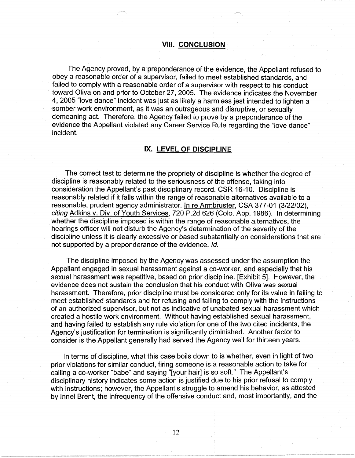#### **VIII. CONCLUSION**

The Agency proved, by a preponderance of the evidence, the Appellant refused to obey a reasonable order of a supervisor, failed to meet established standards, and failed to comply with a reasonable order of a supervisor with respect to his conduct toward Oliva on and prior to October 27, 2005. The evidence indicates the November 4, 2005 "love dance" incident was just as likely a harmless jest intended to lighten a somber work environment, as it was an outrageous and disruptive, or sexually demeaning act. Therefore, the Agency failed to prove by a preponderance of the evidence the Appellant violated any Career Service Rule regarding the "love dance" incident.

#### **IX. LEVEL OF DISCIPLINE**

The correct test to determine the propriety of discipline is whether the degree of discipline is reasonably related to the seriousness of the offense, taking into consideration the Appellant's past disciplinary record. CSR 16-10. Discipline is reasonably related if it falls within the range of reasonable alternatives available to a reasonable, prudent agency administrator. In re Armbruster, CSA 377-01 (3/22/02), citing Adkins v. Div. of Youth Services, 720 P.2d 626 (Colo. App. 1986). In determining whether the discipline imposed is within the range of reasonable alternatives, the hearings officer will not disturb the Agency's determination of the severity of the discipline unless it is clearly excessive or based substantially on considerations that are not supported by a preponderance of the evidence. Id.

The discipline imposed by the Agency was assessed under the assumption the Appellant engaged in sexual harassment against a co-worker, and especially that his sexual harassment was repetitive, based on prior discipline. [Exhibit 5]. However, the evidence does not sustain the conclusion that his conduct with Oliva was sexual harassment. Therefore, prior discipline must be considered only for its value in failing to meet established standards and for refusing and failing to comply with the instructions of an authorized supervisor, but not as indicative of unabated sexual harassment which created a hostile work environment. Without having established sexual harassment, and having failed to establish any rule violation for one of the two cited incidents, the Agency's justification for termination is significantly diminished. Another factor to consider is the Appellant generally had served the Agency well for thirteen years.

In terms of discipline, what this case boils down to is whether, even in light of two prior violations for similar conduct, firing someone is a reasonable action to take for calling a co-worker "babe" and saying "[your hair] is so soft." The Appellant's disciplinary history indicates some action is justified due to his prior refusal to comply with instructions; however, the Appellant's struggle to amend his behavior, as attested by lnnel Brent, the infrequency of the offensive conduct and, most importantly, and the